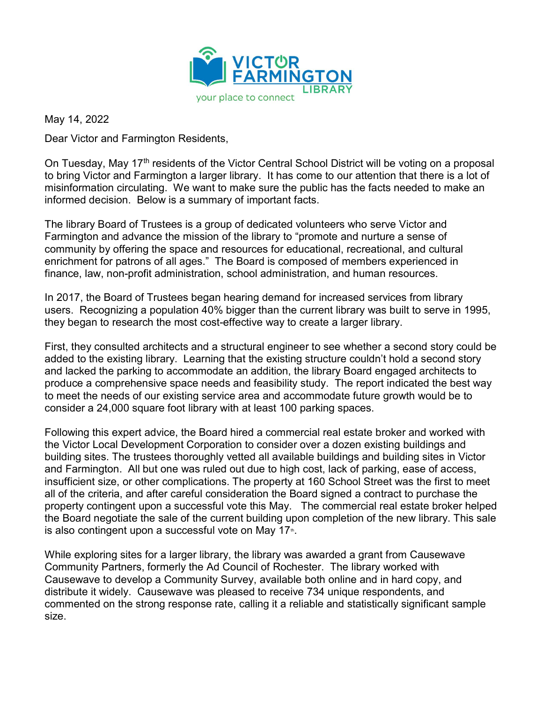

May 14, 2022

Dear Victor and Farmington Residents,

On Tuesday, May 17<sup>th</sup> residents of the Victor Central School District will be voting on a proposal to bring Victor and Farmington a larger library. It has come to our attention that there is a lot of misinformation circulating. We want to make sure the public has the facts needed to make an informed decision. Below is a summary of important facts.

The library Board of Trustees is a group of dedicated volunteers who serve Victor and Farmington and advance the mission of the library to "promote and nurture a sense of community by offering the space and resources for educational, recreational, and cultural enrichment for patrons of all ages." The Board is composed of members experienced in finance, law, non-profit administration, school administration, and human resources.

In 2017, the Board of Trustees began hearing demand for increased services from library users. Recognizing a population 40% bigger than the current library was built to serve in 1995, they began to research the most cost-effective way to create a larger library.

First, they consulted architects and a structural engineer to see whether a second story could be added to the existing library. Learning that the existing structure couldn't hold a second story and lacked the parking to accommodate an addition, the library Board engaged architects to produce a comprehensive space needs and feasibility study. The report indicated the best way to meet the needs of our existing service area and accommodate future growth would be to consider a 24,000 square foot library with at least 100 parking spaces.

Following this expert advice, the Board hired a commercial real estate broker and worked with the Victor Local Development Corporation to consider over a dozen existing buildings and building sites. The trustees thoroughly vetted all available buildings and building sites in Victor and Farmington. All but one was ruled out due to high cost, lack of parking, ease of access, insufficient size, or other complications. The property at 160 School Street was the first to meet all of the criteria, and after careful consideration the Board signed a contract to purchase the property contingent upon a successful vote this May. The commercial real estate broker helped the Board negotiate the sale of the current building upon completion of the new library. This sale is also contingent upon a successful vote on May  $17<sup>th</sup>$ .

While exploring sites for a larger library, the library was awarded a grant from Causewave Community Partners, formerly the Ad Council of Rochester. The library worked with Causewave to develop a Community Survey, available both online and in hard copy, and distribute it widely. Causewave was pleased to receive 734 unique respondents, and commented on the strong response rate, calling it a reliable and statistically significant sample size.